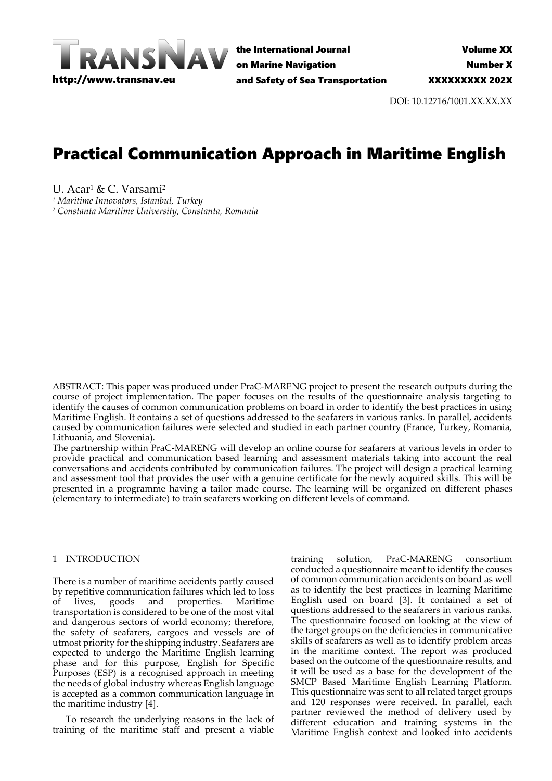

the International Journal on Marine Navigation and Safety of Sea Transportation

DOI: 10.12716/1001.XX.XX.XX

# Practical Communication Approach in Maritime English

U. Acar<sup>1</sup> & C. Varsami<sup>2</sup>

*<sup>1</sup> Maritime Innovators, Istanbul, Turkey*

*<sup>2</sup> Constanta Maritime University, Constanta, Romania*

ABSTRACT: This paper was produced under PraC-MARENG project to present the research outputs during the course of project implementation. The paper focuses on the results of the questionnaire analysis targeting to identify the causes of common communication problems on board in order to identify the best practices in using Maritime English. It contains a set of questions addressed to the seafarers in various ranks. In parallel, accidents caused by communication failures were selected and studied in each partner country (France, Turkey, Romania, Lithuania, and Slovenia).

The partnership within PraC-MARENG will develop an online course for seafarers at various levels in order to provide practical and communication based learning and assessment materials taking into account the real conversations and accidents contributed by communication failures. The project will design a practical learning and assessment tool that provides the user with a genuine certificate for the newly acquired skills. This will be presented in a programme having a tailor made course. The learning will be organized on different phases (elementary to intermediate) to train seafarers working on different levels of command.

# 1 INTRODUCTION

There is a number of maritime accidents partly caused by repetitive communication failures which led to loss<br>of lives, goods and properties. Maritime of lives, goods and properties. Maritime transportation is considered to be one of the most vital and dangerous sectors of world economy; therefore, the safety of seafarers, cargoes and vessels are of utmost priority for the shipping industry. Seafarers are expected to undergo the Maritime English learning phase and for this purpose, English for Specific Purposes (ESP) is a recognised approach in meeting the needs of global industry whereas English language is accepted as a common communication language in the maritime industry [4].

To research the underlying reasons in the lack of training of the maritime staff and present a viable training solution, PraC-MARENG consortium conducted a questionnaire meant to identify the causes of common communication accidents on board as well as to identify the best practices in learning Maritime English used on board [3]. It contained a set of questions addressed to the seafarers in various ranks. The questionnaire focused on looking at the view of the target groups on the deficiencies in communicative skills of seafarers as well as to identify problem areas in the maritime context. The report was produced based on the outcome of the questionnaire results, and it will be used as a base for the development of the SMCP Based Maritime English Learning Platform. This questionnaire was sent to all related target groups and 120 responses were received. In parallel, each partner reviewed the method of delivery used by different education and training systems in the Maritime English context and looked into accidents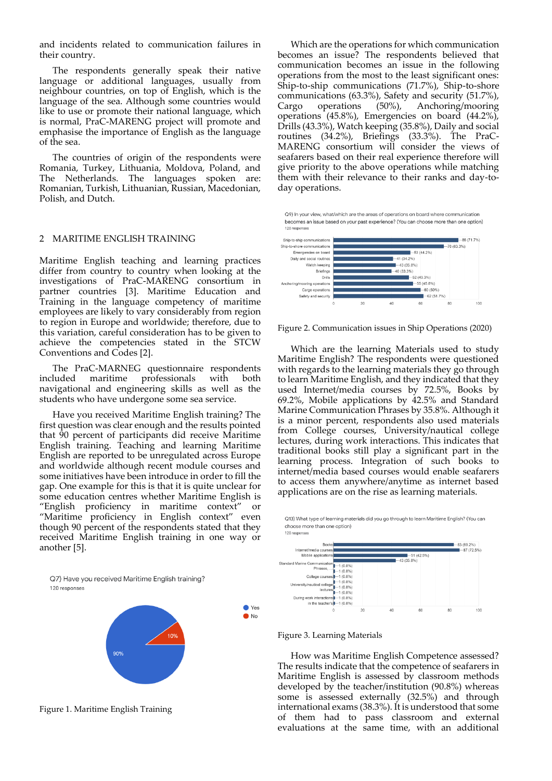and incidents related to communication failures in their country.

The respondents generally speak their native language or additional languages, usually from neighbour countries, on top of English, which is the language of the sea. Although some countries would like to use or promote their national language, which is normal, PraC-MARENG project will promote and emphasise the importance of English as the language of the sea.

The countries of origin of the respondents were Romania, Turkey, Lithuania, Moldova, Poland, and The Netherlands. The languages spoken are: Romanian, Turkish, Lithuanian, Russian, Macedonian, Polish, and Dutch.

#### 2 MARITIME ENGLISH TRAINING

Maritime English teaching and learning practices differ from country to country when looking at the investigations of PraC-MARENG consortium in partner countries [3]. Maritime Education and Training in the language competency of maritime employees are likely to vary considerably from region to region in Europe and worldwide; therefore, due to this variation, careful consideration has to be given to achieve the competencies stated in the STCW Conventions and Codes [2].

The PraC-MARNEG questionnaire respondents included maritime professionals with both navigational and engineering skills as well as the students who have undergone some sea service.

Have you received Maritime English training? The first question was clear enough and the results pointed that 90 percent of participants did receive Maritime English training. Teaching and learning Maritime English are reported to be unregulated across Europe and worldwide although recent module courses and some initiatives have been introduce in order to fill the gap. One example for this is that it is quite unclear for some education centres whether Maritime English is "English proficiency in maritime context" or "Maritime proficiency in English context" even though 90 percent of the respondents stated that they received Maritime English training in one way or another [5].

Q7) Have you received Maritime English training? 120 responses



Figure 1. Maritime English Training

Which are the operations for which communication becomes an issue? The respondents believed that communication becomes an issue in the following operations from the most to the least significant ones: Ship-to-ship communications (71.7%), Ship-to-shore communications (63.3%), Safety and security (51.7%), Cargo operations (50%), Anchoring/mooring operations (45.8%), Emergencies on board (44.2%), Drills (43.3%), Watch keeping (35.8%), Daily and social routines (34.2%), Briefings (33.3%). The PraC-MARENG consortium will consider the views of seafarers based on their real experience therefore will give priority to the above operations while matching them with their relevance to their ranks and day-today operations.

Q9) In your view, what/which are the areas of operations on board where communication becomes an issue based on your past experience? (You can choose more than one option)



Figure 2. Communication issues in Ship Operations (2020)

Which are the learning Materials used to study Maritime English? The respondents were questioned with regards to the learning materials they go through to learn Maritime English, and they indicated that they used Internet/media courses by 72.5%, Books by 69.2%, Mobile applications by 42.5% and Standard Marine Communication Phrases by 35.8%. Although it is a minor percent, respondents also used materials from College courses, University/nautical college lectures, during work interactions. This indicates that traditional books still play a significant part in the learning process. Integration of such books to internet/media based courses would enable seafarers to access them anywhere/anytime as internet based applications are on the rise as learning materials.

Q13) What type of learning materials did you go through to learn Maritime English? (You can choose more than one option) 120 responses



#### Figure 3. Learning Materials

● Yes  $\bullet$  No

> How was Maritime English Competence assessed? The results indicate that the competence of seafarers in Maritime English is assessed by classroom methods developed by the teacher/institution (90.8%) whereas some is assessed externally (32.5%) and through international exams (38.3%). It is understood that some of them had to pass classroom and external evaluations at the same time, with an additional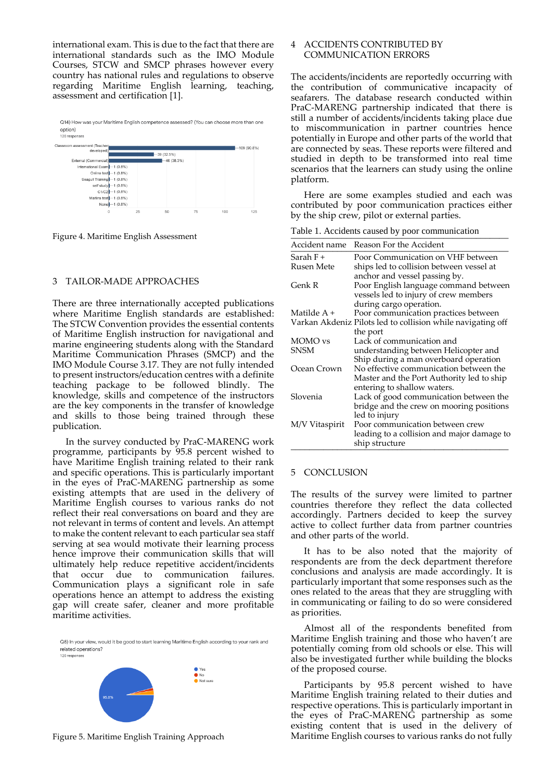international exam. This is due to the fact that there are international standards such as the IMO Module Courses, STCW and SMCP phrases however every country has national rules and regulations to observe regarding Maritime English learning, teaching, assessment and certification [1].

Q14) How was your Maritime English competence assessed? (You can choose more than one Option)<br>120 responses



Figure 4. Maritime English Assessment

# 3 TAILOR-MADE APPROACHES

There are three internationally accepted publications where Maritime English standards are established: The STCW Convention provides the essential contents of Maritime English instruction for navigational and marine engineering students along with the Standard Maritime Communication Phrases (SMCP) and the IMO Module Course 3.17. They are not fully intended to present instructors/education centres with a definite teaching package to be followed blindly. The knowledge, skills and competence of the instructors are the key components in the transfer of knowledge and skills to those being trained through these publication.

In the survey conducted by PraC-MARENG work programme, participants by 95.8 percent wished to have Maritime English training related to their rank and specific operations. This is particularly important in the eyes of PraC-MARENG partnership as some existing attempts that are used in the delivery of Maritime English courses to various ranks do not reflect their real conversations on board and they are not relevant in terms of content and levels. An attempt to make the content relevant to each particular sea staff serving at sea would motivate their learning process hence improve their communication skills that will ultimately help reduce repetitive accident/incidents that occur due to communication failures. Communication plays a significant role in safe operations hence an attempt to address the existing gap will create safer, cleaner and more profitable maritime activities.

Q8) In your view, would it be good to start learning Maritime English according to your rank and related operations? 120 response



Figure 5. Maritime English Training Approach

# 4 ACCIDENTS CONTRIBUTED BY COMMUNICATION ERRORS

The accidents/incidents are reportedly occurring with the contribution of communicative incapacity of seafarers. The database research conducted within PraC-MARENG partnership indicated that there is still a number of accidents/incidents taking place due to miscommunication in partner countries hence potentially in Europe and other parts of the world that are connected by seas. These reports were filtered and studied in depth to be transformed into real time scenarios that the learners can study using the online platform.

Here are some examples studied and each was contributed by poor communication practices either by the ship crew, pilot or external parties.

Table 1. Accidents caused by poor communication

| Accident name  | Reason For the Accident                                                  |
|----------------|--------------------------------------------------------------------------|
| Sarah F +      | Poor Communication on VHF between                                        |
| Rusen Mete     | ships led to collision between vessel at                                 |
| Genk R         | anchor and vessel passing by.<br>Poor English language command between   |
|                | vessels led to injury of crew members                                    |
|                | during cargo operation.                                                  |
| Matilde A +    | Poor communication practices between                                     |
|                | Varkan Akdeniz Pilots led to collision while navigating off              |
|                | the port                                                                 |
| MOMO vs        | Lack of communication and                                                |
| <b>SNSM</b>    | understanding between Helicopter and                                     |
|                | Ship during a man overboard operation                                    |
| Ocean Crown    | No effective communication between the                                   |
|                | Master and the Port Authority led to ship<br>entering to shallow waters. |
| Slovenia       | Lack of good communication between the                                   |
|                | bridge and the crew on mooring positions                                 |
|                | led to injury                                                            |
| M/V Vitaspirit | Poor communication between crew                                          |
|                | leading to a collision and major damage to<br>ship structure             |

# 5 CONCLUSION

The results of the survey were limited to partner countries therefore they reflect the data collected accordingly. Partners decided to keep the survey active to collect further data from partner countries and other parts of the world.

It has to be also noted that the majority of respondents are from the deck department therefore conclusions and analysis are made accordingly. It is particularly important that some responses such as the ones related to the areas that they are struggling with in communicating or failing to do so were considered as priorities.

Almost all of the respondents benefited from Maritime English training and those who haven't are potentially coming from old schools or else. This will also be investigated further while building the blocks of the proposed course.

Participants by 95.8 percent wished to have Maritime English training related to their duties and respective operations. This is particularly important in the eyes of PraC-MARENG partnership as some existing content that is used in the delivery of Maritime English courses to various ranks do not fully